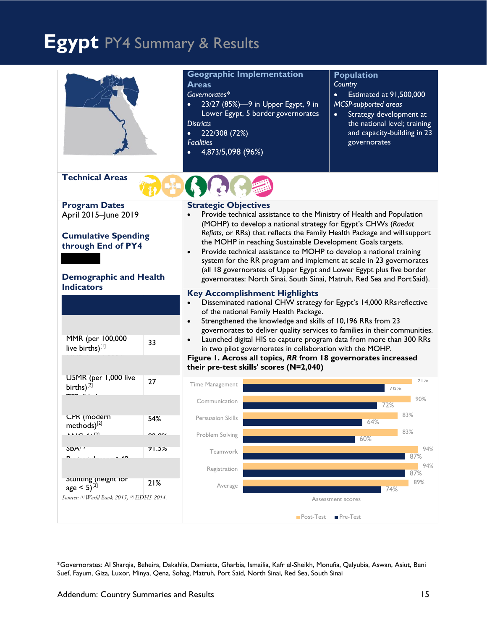# **Egypt** PY4 Summary & Results

|                                                                                                                                                        |               | <b>Geographic Implementation</b><br><b>Areas</b><br>Governorates*<br>23/27 (85%)-9 in Upper Egypt, 9 in<br>$\bullet$<br>Lower Egypt, 5 border governorates<br><b>Districts</b><br>222/308 (72%)<br>$\bullet$<br><b>Facilities</b><br>4,873/5,098 (96%)<br>$\bullet$                                                                                                                                                                                                                                                                                                                                                              |  | <b>Population</b><br>Country<br>Estimated at 91,500,000<br>$\bullet$<br><b>MCSP-supported areas</b><br>Strategy development at<br>$\bullet$<br>the national level; training<br>and capacity-building in 23<br>governorates |  |
|--------------------------------------------------------------------------------------------------------------------------------------------------------|---------------|----------------------------------------------------------------------------------------------------------------------------------------------------------------------------------------------------------------------------------------------------------------------------------------------------------------------------------------------------------------------------------------------------------------------------------------------------------------------------------------------------------------------------------------------------------------------------------------------------------------------------------|--|----------------------------------------------------------------------------------------------------------------------------------------------------------------------------------------------------------------------------|--|
| <b>Technical Areas</b>                                                                                                                                 |               |                                                                                                                                                                                                                                                                                                                                                                                                                                                                                                                                                                                                                                  |  |                                                                                                                                                                                                                            |  |
| <b>Program Dates</b><br>April 2015-June 2019<br><b>Cumulative Spending</b><br>through End of PY4<br><b>Demographic and Health</b><br><b>Indicators</b> |               | <b>Strategic Objectives</b><br>Provide technical assistance to the Ministry of Health and Population<br>(MOHP) to develop a national strategy for Egypt's CHWs (Raedat<br>Refiats, or RRs) that reflects the Family Health Package and will support<br>the MOHP in reaching Sustainable Development Goals targets.<br>Provide technical assistance to MOHP to develop a national training<br>$\bullet$<br>system for the RR program and implement at scale in 23 governorates<br>(all 18 governorates of Upper Egypt and Lower Egypt plus five border<br>governorates: North Sinai, South Sinai, Matruh, Red Sea and Port Said). |  |                                                                                                                                                                                                                            |  |
| MMR (per 100,000<br>33<br>live births)[1]                                                                                                              |               | <b>Key Accomplishment Highlights</b><br>Disseminated national CHW strategy for Egypt's 14,000 RRs reflective<br>of the national Family Health Package.<br>Strengthened the knowledge and skills of 10,196 RRs from 23<br>$\bullet$<br>governorates to deliver quality services to families in their communities.<br>Launched digital HIS to capture program data from more than 300 RRs<br>in two pilot governorates in collaboration with the MOHP.                                                                                                                                                                             |  |                                                                                                                                                                                                                            |  |
|                                                                                                                                                        |               | their pre-test skills' scores (N=2,040)                                                                                                                                                                                                                                                                                                                                                                                                                                                                                                                                                                                          |  | Figure 1. Across all topics, RR from 18 governorates increased                                                                                                                                                             |  |
| U5MR (per 1,000 live<br>births) <sup>[2]</sup>                                                                                                         | 27            | Time Management                                                                                                                                                                                                                                                                                                                                                                                                                                                                                                                                                                                                                  |  | $91\%$<br>16%                                                                                                                                                                                                              |  |
|                                                                                                                                                        |               | Communication                                                                                                                                                                                                                                                                                                                                                                                                                                                                                                                                                                                                                    |  | 90%<br>72%                                                                                                                                                                                                                 |  |
| <b>CPK</b> (modern<br>methods) <sup>[2]</sup>                                                                                                          | 54%           | Persuasion Skills                                                                                                                                                                                                                                                                                                                                                                                                                                                                                                                                                                                                                |  | 83%<br>64%                                                                                                                                                                                                                 |  |
| $\cdots$ $\cdots$                                                                                                                                      | $\sim$ $\sim$ | Problem Solving                                                                                                                                                                                                                                                                                                                                                                                                                                                                                                                                                                                                                  |  | 83%<br>60%                                                                                                                                                                                                                 |  |
| <b>SBA</b> W<br>$\overline{\phantom{a}}$                                                                                                               | 71.5%         | Teamwork                                                                                                                                                                                                                                                                                                                                                                                                                                                                                                                                                                                                                         |  | 94%<br>87%                                                                                                                                                                                                                 |  |
|                                                                                                                                                        |               | Registration                                                                                                                                                                                                                                                                                                                                                                                                                                                                                                                                                                                                                     |  | 94%<br>87%                                                                                                                                                                                                                 |  |
| Stunting (neight for<br>$age < 5$ <sup>[2]</sup>                                                                                                       | 21%           | Average                                                                                                                                                                                                                                                                                                                                                                                                                                                                                                                                                                                                                          |  | 89%<br>74%                                                                                                                                                                                                                 |  |
| Sources: [1] World Bank 2015, [2] EDHS 2014.                                                                                                           |               |                                                                                                                                                                                                                                                                                                                                                                                                                                                                                                                                                                                                                                  |  | Assessment scores                                                                                                                                                                                                          |  |
|                                                                                                                                                        |               | Post-Test<br>Pre-Test                                                                                                                                                                                                                                                                                                                                                                                                                                                                                                                                                                                                            |  |                                                                                                                                                                                                                            |  |

\*Governorates: Al Sharqia, Beheira, Dakahlia, Damietta, Gharbia, Ismailia, Kafr el-Sheikh, Monufia, Qalyubia, Aswan, Asiut, Beni Suef, Fayum, Giza, Luxor, Minya, Qena, Sohag, Matruh, Port Said, North Sinai, Red Sea, South Sinai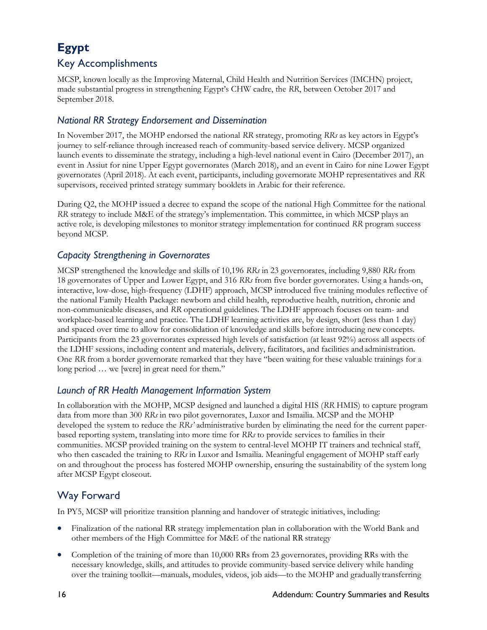# **Egypt**

## Key Accomplishments

MCSP, known locally as the Improving Maternal, Child Health and Nutrition Services (IMCHN) project, made substantial progress in strengthening Egypt's CHW cadre, the *RR*, between October 2017 and September 2018.

#### *National RR Strategy Endorsement and Dissemination*

In November 2017, the MOHP endorsed the national *RR* strategy, promoting *RRs* as key actors in Egypt's journey to self-reliance through increased reach of community-based service delivery. MCSP organized launch events to disseminate the strategy, including a high-level national event in Cairo (December 2017), an event in Assiut for nine Upper Egypt governorates (March 2018), and an event in Cairo for nine Lower Egypt governorates (April 2018). At each event, participants, including governorate MOHP representatives and *RR*  supervisors, received printed strategy summary booklets in Arabic for their reference.

During Q2, the MOHP issued a decree to expand the scope of the national High Committee for the national *RR* strategy to include M&E of the strategy's implementation. This committee, in which MCSP plays an active role, is developing milestones to monitor strategy implementation for continued *RR* program success beyond MCSP.

#### *Capacity Strengthening in Governorates*

MCSP strengthened the knowledge and skills of 10,196 *RRs* in 23 governorates, including 9,880 *RRs* from 18 governorates of Upper and Lower Egypt, and 316 *RRs* from five border governorates. Using a hands-on, interactive, low-dose, high-frequency (LDHF) approach, MCSP introduced five training modules reflective of the national Family Health Package: newborn and child health, reproductive health, nutrition, chronic and non-communicable diseases, and *RR* operational guidelines. The LDHF approach focuses on team- and workplace-based learning and practice. The LDHF learning activities are, by design, short (less than 1 day) and spaced over time to allow for consolidation of knowledge and skills before introducing newconcepts. Participants from the 23 governorates expressed high levels of satisfaction (at least 92%) across all aspects of the LDHF sessions, including content and materials, delivery, facilitators, and facilities andadministration. One *RR* from a border governorate remarked that they have "been waiting for these valuable trainings for a long period … we [were] in great need for them."

#### *Launch of RR Health Management Information System*

In collaboration with the MOHP, MCSP designed and launched a digital HIS (*RR* HMIS) to capture program data from more than 300 *RRs* in two pilot governorates, Luxor and Ismailia. MCSP and the MOHP developed the system to reduce the *RRs'* administrative burden by eliminating the need for the current paperbased reporting system, translating into more time for *RRs* to provide services to families in their communities. MCSP provided training on the system to central-level MOHP IT trainers and technical staff, who then cascaded the training to *RRs* in Luxor and Ismailia. Meaningful engagement of MOHP staff early on and throughout the process has fostered MOHP ownership, ensuring the sustainability of the system long after MCSP Egypt closeout.

### Way Forward

In PY5, MCSP will prioritize transition planning and handover of strategic initiatives, including:

- Finalization of the national RR strategy implementation plan in collaboration with the World Bank and other members of the High Committee for M&E of the national RR strategy
- Completion of the training of more than 10,000 RRs from 23 governorates, providing RRs with the necessary knowledge, skills, and attitudes to provide community-based service delivery while handing over the training toolkit—manuals, modules, videos, job aids—to the MOHP and gradually transferring